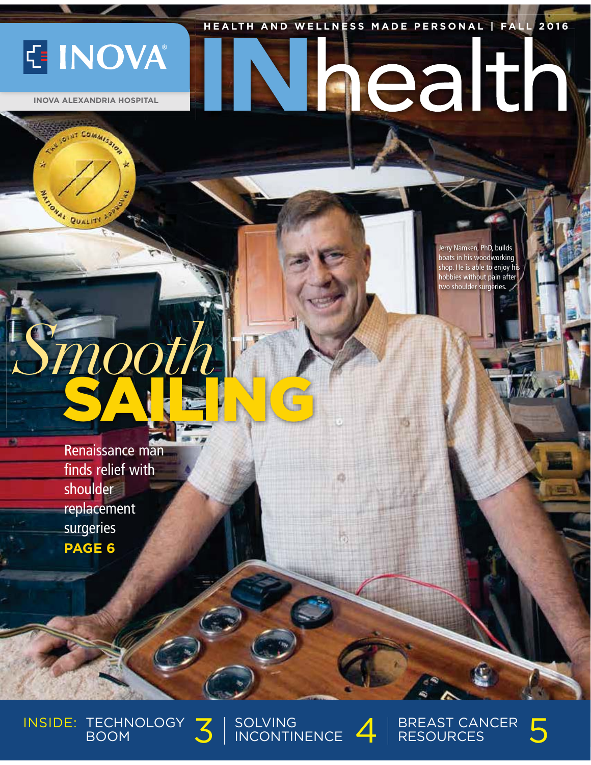### **HEALTH AND WELLNESS MADE PERSONAL | FALL 2016 HEALT H AND W E L L N ESS MADE PERSONA L | FALL 201 6**

**E INOVA** 

 **INOVA ALEXANDRIA HOSPITAL**

COMMISSION

TOMAL QUALITY

Jerry Namken, PhD, builds boats in his woodworking shop. He is able to enjoy his hobbies without pain after two shoulder surgeries.

aealth

Renaissance man finds relief with shoulder replacement surgeries **PAGE 6**

*Smooth*

SAILING

INSIDE: TECHNOLOGY 3 SOLVING



 $\frac{1}{\sqrt{3}}$  SOLVING  $\frac{1}{\sqrt{3}}$  RESOURCES SOLVING  $4$  | BREAST CANCER  $5$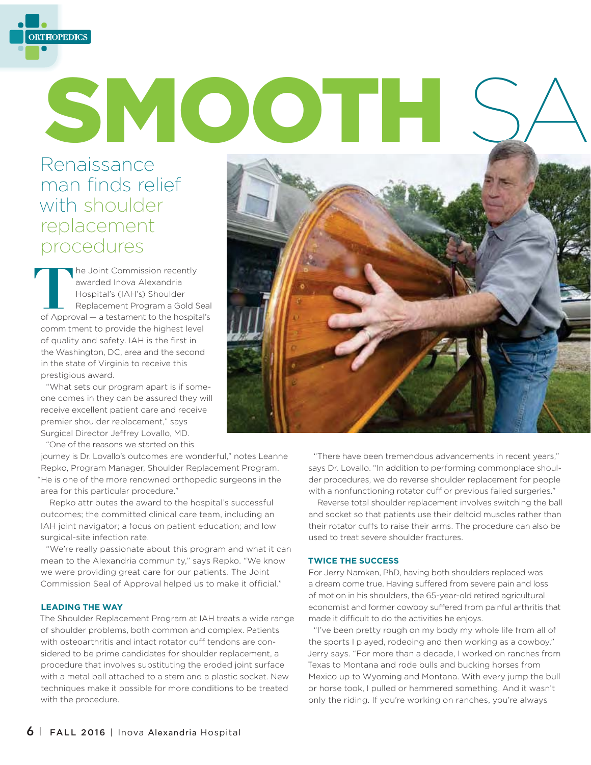

# SMOOTH

# Renaissance man finds relief with shoulder replacement procedures

**The Joint Commission recently** awarded Inova Alexandria Hospital's (IAH's) Shoulder Replacement Program a Gold Seal of Approval — a testament to the hospital's commitment to provide the highest level of quality and safety. IAH is the first in the Washington, DC, area and the second in the state of Virginia to receive this prestigious award.

"What sets our program apart is if someone comes in they can be assured they will receive excellent patient care and receive premier shoulder replacement," says Surgical Director Jeffrey Lovallo, MD.

"One of the reasons we started on this

journey is Dr. Lovallo's outcomes are wonderful," notes Leanne Repko, Program Manager, Shoulder Replacement Program. "He is one of the more renowned orthopedic surgeons in the area for this particular procedure."

Repko attributes the award to the hospital's successful outcomes; the committed clinical care team, including an IAH joint navigator; a focus on patient education; and low surgical-site infection rate.

"We're really passionate about this program and what it can mean to the Alexandria community," says Repko. "We know we were providing great care for our patients. The Joint Commission Seal of Approval helped us to make it official."

### **LEADING THE WAY**

The Shoulder Replacement Program at IAH treats a wide range of shoulder problems, both common and complex. Patients with osteoarthritis and intact rotator cuff tendons are considered to be prime candidates for shoulder replacement, a procedure that involves substituting the eroded joint surface with a metal ball attached to a stem and a plastic socket. New techniques make it possible for more conditions to be treated with the procedure.



"There have been tremendous advancements in recent years," says Dr. Lovallo. "In addition to performing commonplace shoulder procedures, we do reverse shoulder replacement for people with a nonfunctioning rotator cuff or previous failed surgeries."

Reverse total shoulder replacement involves switching the ball and socket so that patients use their deltoid muscles rather than their rotator cuffs to raise their arms. The procedure can also be used to treat severe shoulder fractures.

### **TWICE THE SUCCESS**

For Jerry Namken, PhD, having both shoulders replaced was a dream come true. Having suffered from severe pain and loss of motion in his shoulders, the 65-year-old retired agricultural economist and former cowboy suffered from painful arthritis that made it difficult to do the activities he enjoys.

"I've been pretty rough on my body my whole life from all of the sports I played, rodeoing and then working as a cowboy," Jerry says. "For more than a decade, I worked on ranches from Texas to Montana and rode bulls and bucking horses from Mexico up to Wyoming and Montana. With every jump the bull or horse took, I pulled or hammered something. And it wasn't only the riding. If you're working on ranches, you're always